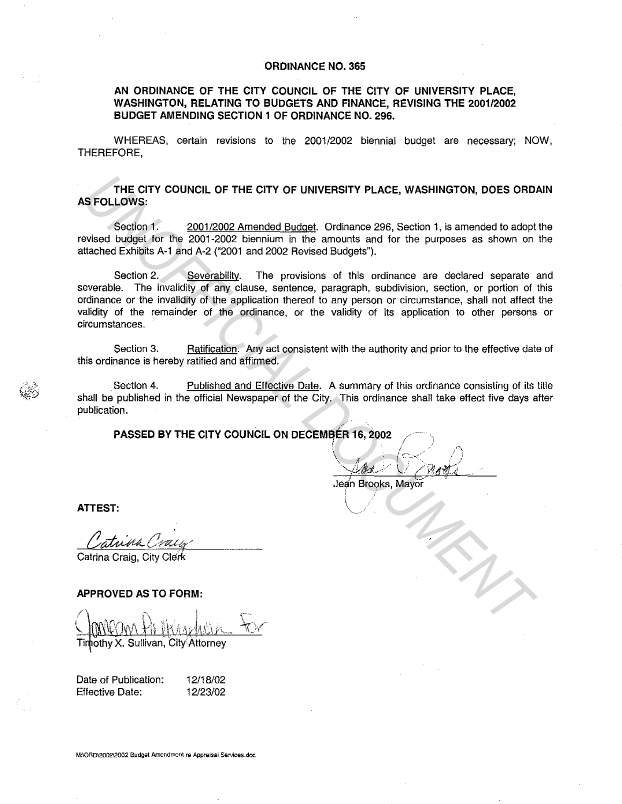## **ORDINANCE NO. 365**

## **AN ORDINANCE OF THE CITY COUNCIL OF THE CITY OF UNIVERSITY PLACE, WASHINGTON, RELATING TO BUDGETS AND FINANCE, REVISING THE 2001/2002 BUDGET AMENDING SECTION 1 OF ORDINANCE NO. 296.**

WHEREAS, certain revisions to the 2001/2002 biennial budget are necessary; NOW, THEREFORE.

**THE CITY COUNCIL OF THE CITY OF UNIVERSITY PLACE, WASHINGTON, DOES ORDAIN AS FOLLOWS:** 

Section 1. 2001/2002 Amended Budget. Ordinance 296, Section 1, is amended to adopt the revised budget for the 2001-2002 biennium in the amounts and for the purposes as shown on the attached Exhibits A-1 and A-2 ("2001 and 2002 Revised Budgets").

Section 2. Severability. The provisions of this ordinance are declared separate and severable. The invalidity of any clause, sentence, paragraph, subdivision, section, or portion of this ordinance or the invalidity of the application thereof to any person or circumstance, shall not affect the validity of the remainder of the ordinance, or the validity of its application to other persons or circumstances. THE CITY COUNCIL OF THE CITY OF UNIVERSITY PLACE, WASHINGTON, DOES ORD.<br>
SECCIONS:<br>
SECCION 1. 2001/2002 Amended <u>Budget</u> Dridinance 296, Section 1, is amended to adopt<br>
evised budget for the 2001-2002 biennium in the amou

Section 3. Ratification. Any act consistent with the authority and prior to the effective date of this ordinance is hereby ratified and affirmed.

Section 4. Published and Effective Date. A summary of this ordinance consisting of its title shall be published in the official Newspaper of the City. This ordinance shall take effect five days after publication.

Jean Brooks, Mayor

 $\diagdown\,$ 

**ATTEST:** 

Catrina Craig, City Clerk

**APPROVED AS TO FORM:** 

othy X. Sullivan, City Attorney

Date of Publication: Effective Date:

12/18/02 12/23/02

**M:\ORD\2002\2002 Budget Amendment re Appraisal Services.doc**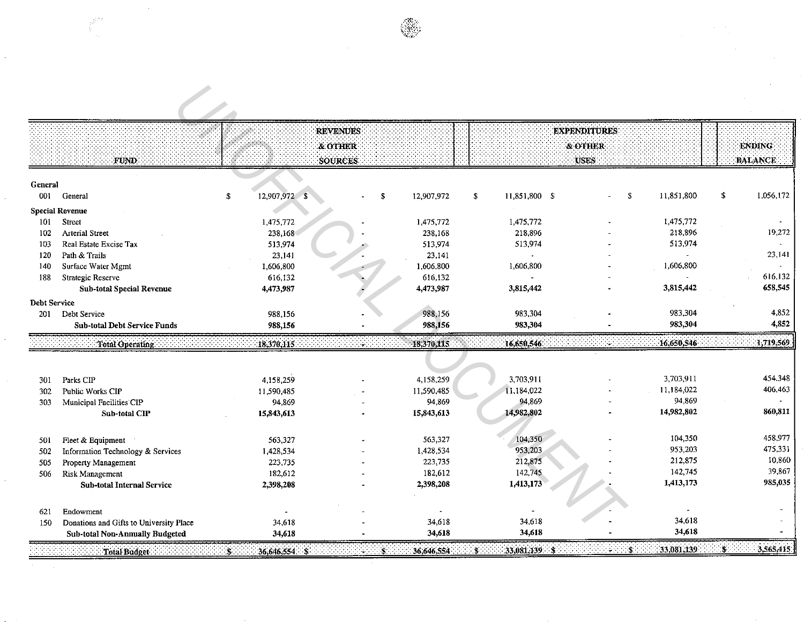| ٠ |  |
|---|--|
|   |  |
|   |  |

 $\hat{\mathcal{L}}$ 

 $\frac{1}{2}$ 

 $\hat{\mathcal{L}}$ 

 $\frac{1}{2}$ 

|              |                                         |                     | <b>REVENUES</b> |            |                     | <b>EXPENDITURES</b> |                          |                 |
|--------------|-----------------------------------------|---------------------|-----------------|------------|---------------------|---------------------|--------------------------|-----------------|
|              |                                         |                     | & OTHER         |            |                     | & OTHER             |                          | <b>ENDING</b>   |
|              | FUND.                                   |                     | <b>SOURCES</b>  |            |                     | <b>USES</b>         |                          | <b>BALANCE</b>  |
| General      |                                         |                     |                 |            |                     |                     |                          |                 |
| 001          | General                                 | \$<br>12,907,972 \$ | \$              | 12,907,972 | \$<br>11,851,800 \$ | ÷.                  | \$<br>11,851,800         | \$<br>1,056,172 |
|              | <b>Special Revenue</b>                  |                     |                 |            |                     |                     |                          |                 |
| 101          | Street                                  | 1,475,772           |                 | 1,475,772  | 1,475,772           |                     | 1,475,772                |                 |
| 102          | <b>Arterial Street</b>                  | 238,168             |                 | 238,168    | 218.896             |                     | 218.896                  | 19,272          |
| 103          | Real Estate Excise Tax                  | 513,974             |                 | 513,974    | 513,974             |                     | 513,974                  |                 |
| 120          | Path & Trails                           | 23,141              |                 | 23,141     |                     |                     |                          | 23,141          |
| 140          | Surface Water Mgmt                      | 1,606,800           |                 | 1.606,800  | 1,606,800           |                     | 1,606,800                |                 |
| 188          | Strategic Reserve                       | 616,132             |                 | 616,132    | $\overline{a}$      |                     |                          | 616,132         |
|              | <b>Sub-total Special Revenue</b>        | 4,473.987           |                 | 4,473,987  | 3,815,442           |                     | 3,815,442                | 658,545         |
| Debt Service |                                         |                     |                 |            |                     |                     |                          |                 |
| 201          | Debt Service                            | 988,156             |                 | 988,156    | 983,304             |                     | 983,304                  | 4,852           |
|              | <b>Sub-total Debt Service Funds</b>     | 988,156             |                 | 988,156    | 983,304             |                     | 983,304                  | 4,852           |
|              | Total Operating                         | 18,370,115          |                 | 18,370,115 | 16.650,546          |                     | 16,650,546               | 1,719,569.      |
|              |                                         |                     |                 |            |                     |                     |                          |                 |
| 301          | Parks CIP                               | 4,158,259           |                 | 4,158,259  | 3.703.911           |                     | 3,703,911                | 454,348         |
| 302          | Public Works CIP                        | 11,590,485          |                 | 11,590,485 | 11,184,022          |                     | 11,184,022               | 406,463         |
| 303          | Municipal Facilities CIP                | 94.869              |                 | 94,869     | 94,869              |                     | 94,869                   |                 |
|              | Sub-total CIP                           | 15,843,613          |                 | 15,843,613 | 14,982,802          |                     | 14,982,802               | 860,811         |
| 501          | Fleet & Equipment                       | 563,327             |                 | 563,327    | 104,350             |                     | 104,350                  | 458,977         |
| 502          | Information Technology & Services       | 1,428,534           |                 | 1,428,534  | 953,203             |                     | 953,203                  | 475,331         |
| 505          | Property Management                     | 223,735             |                 | 223,735    | 212,875             |                     | 212,875                  | 10,860          |
| 506          | Risk Management                         | 182,612             |                 | 182,612    | 142,745             |                     | 142,745                  | 39,867          |
|              | Sub-total Internal Service              | 2,398,208           |                 | 2,398,208  | 1,413,173           |                     | 1,413,173                | 985,035         |
| 621          | Endowment                               |                     |                 |            |                     |                     | $\overline{\phantom{a}}$ |                 |
| 150          | Donations and Gifts to University Place | 34,618              |                 | 34,618     | 34,618              |                     | 34,618                   |                 |
|              | <b>Sub-total Non-Annually Budgeted</b>  | 34.618              |                 | 34,618     | 34,618              |                     | 34,618                   |                 |